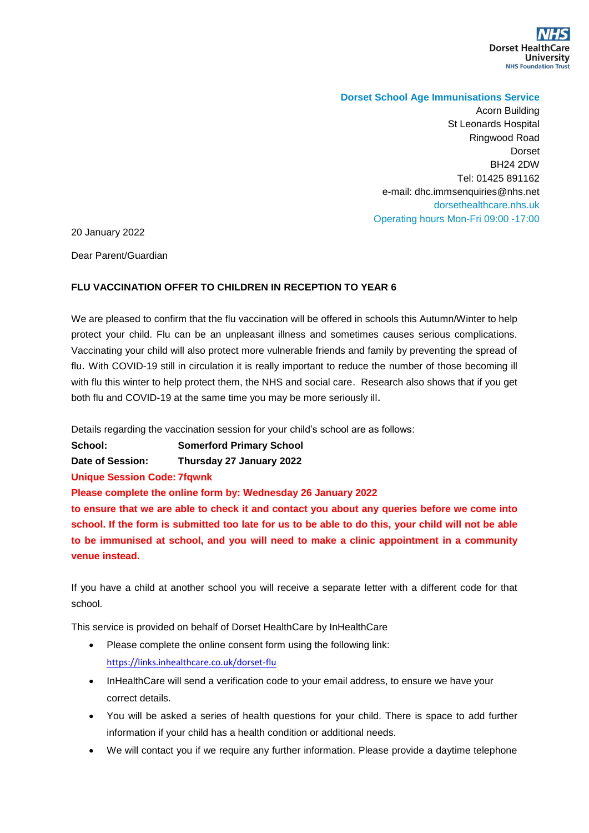

## **Dorset School Age Immunisations Service**

Acorn Building St Leonards Hospital Ringwood Road Dorset BH24 2DW Tel: 01425 891162 e-mail: dhc.immsenquiries@nhs.net dorsethealthcare.nhs.uk Operating hours Mon-Fri 09:00 -17:00

20 January 2022

Dear Parent/Guardian

## **FLU VACCINATION OFFER TO CHILDREN IN RECEPTION TO YEAR 6**

We are pleased to confirm that the flu vaccination will be offered in schools this Autumn/Winter to help protect your child. Flu can be an unpleasant illness and sometimes causes serious complications. Vaccinating your child will also protect more vulnerable friends and family by preventing the spread of flu. With COVID-19 still in circulation it is really important to reduce the number of those becoming ill with flu this winter to help protect them, the NHS and social care. Research also shows that if you get both flu and COVID-19 at the same time you may be more seriously ill.

Details regarding the vaccination session for your child's school are as follows:

**School: Somerford Primary School**

**Date of Session: Thursday 27 January 2022**

**Unique Session Code: 7fqwnk**

**Please complete the online form by: Wednesday 26 January 2022**

**to ensure that we are able to check it and contact you about any queries before we come into school. If the form is submitted too late for us to be able to do this, your child will not be able to be immunised at school, and you will need to make a clinic appointment in a community venue instead.**

If you have a child at another school you will receive a separate letter with a different code for that school.

This service is provided on behalf of Dorset HealthCare by InHealthCare

- Please complete the online consent form using the following link: <https://links.inhealthcare.co.uk/dorset-flu>
- InHealthCare will send a verification code to your email address, to ensure we have your correct details.
- You will be asked a series of health questions for your child. There is space to add further information if your child has a health condition or additional needs.
- We will contact you if we require any further information. Please provide a daytime telephone